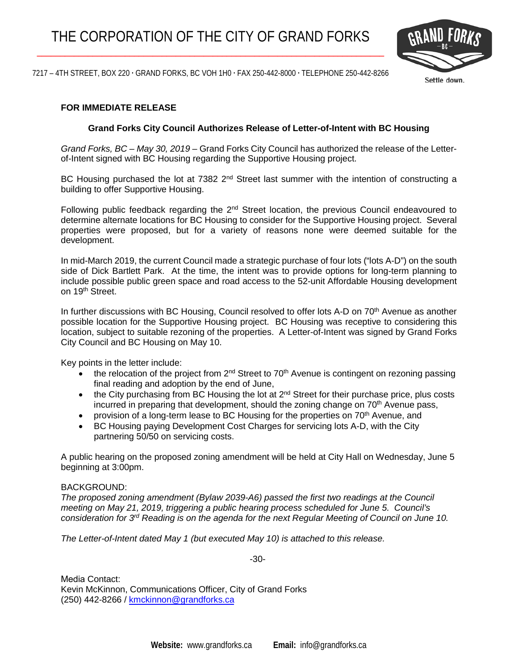7217 – 4TH STREET, BOX 220 **∙** GRAND FORKS, BC VOH 1H0 **∙** FAX 250-442-8000 **∙** TELEPHONE 250-442-8266



Settle down.

### **FOR IMMEDIATE RELEASE**

### **Grand Forks City Council Authorizes Release of Letter-of-Intent with BC Housing**

*Grand Forks, BC – May 30, 2019* – Grand Forks City Council has authorized the release of the Letterof-Intent signed with BC Housing regarding the Supportive Housing project.

BC Housing purchased the lot at  $7382$   $2<sup>nd</sup>$  Street last summer with the intention of constructing a building to offer Supportive Housing.

Following public feedback regarding the 2<sup>nd</sup> Street location, the previous Council endeavoured to determine alternate locations for BC Housing to consider for the Supportive Housing project. Several properties were proposed, but for a variety of reasons none were deemed suitable for the development.

In mid-March 2019, the current Council made a strategic purchase of four lots ("lots A-D") on the south side of Dick Bartlett Park. At the time, the intent was to provide options for long-term planning to include possible public green space and road access to the 52-unit Affordable Housing development on 19<sup>th</sup> Street.

In further discussions with BC Housing, Council resolved to offer lots A-D on 70<sup>th</sup> Avenue as another possible location for the Supportive Housing project. BC Housing was receptive to considering this location, subject to suitable rezoning of the properties. A Letter-of-Intent was signed by Grand Forks City Council and BC Housing on May 10.

Key points in the letter include:

- $\bullet$  the relocation of the project from 2<sup>nd</sup> Street to 70<sup>th</sup> Avenue is contingent on rezoning passing final reading and adoption by the end of June,
- the City purchasing from BC Housing the lot at  $2^{nd}$  Street for their purchase price, plus costs incurred in preparing that development, should the zoning change on 70<sup>th</sup> Avenue pass,
- provision of a long-term lease to BC Housing for the properties on  $70<sup>th</sup>$  Avenue, and
- BC Housing paying Development Cost Charges for servicing lots A-D, with the City partnering 50/50 on servicing costs.

A public hearing on the proposed zoning amendment will be held at City Hall on Wednesday, June 5 beginning at 3:00pm.

### BACKGROUND:

*The proposed zoning amendment (Bylaw 2039-A6) passed the first two readings at the Council meeting on May 21, 2019, triggering a public hearing process scheduled for June 5. Council's consideration for 3rd Reading is on the agenda for the next Regular Meeting of Council on June 10.*

*The Letter-of-Intent dated May 1 (but executed May 10) is attached to this release.*

-30-

Media Contact: Kevin McKinnon, Communications Officer, City of Grand Forks (250) 442-8266 / [kmckinnon@grandforks.ca](mailto:kmckinnon@grandforks.ca)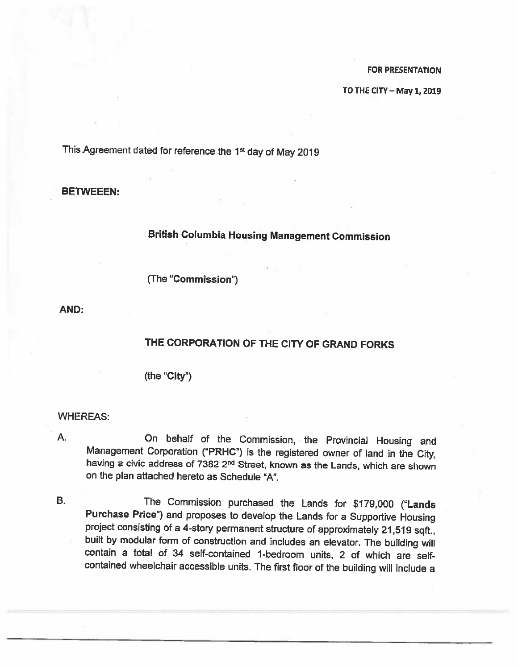TO THE CITY - May 1, 2019

This Agreement dated for reference the 1st day of May 2019

**BETWEEEN:** 

# **British Columbia Housing Management Commission**

(The "Commission")

AND:

## THE CORPORATION OF THE CITY OF GRAND FORKS

(the "City")

### **WHEREAS:**

- А. On behalf of the Commission, the Provincial Housing and Management Corporation ("PRHC") is the registered owner of land in the City, having a civic address of 7382 2<sup>nd</sup> Street, known as the Lands, which are shown on the plan attached hereto as Schedule "A".
- **B.** The Commission purchased the Lands for \$179,000 ("Lands Purchase Price") and proposes to develop the Lands for a Supportive Housing project consisting of a 4-story permanent structure of approximately 21,519 sqft., built by modular form of construction and includes an elevator. The building will contain a total of 34 self-contained 1-bedroom units, 2 of which are selfcontained wheelchair accessible units. The first floor of the building will include a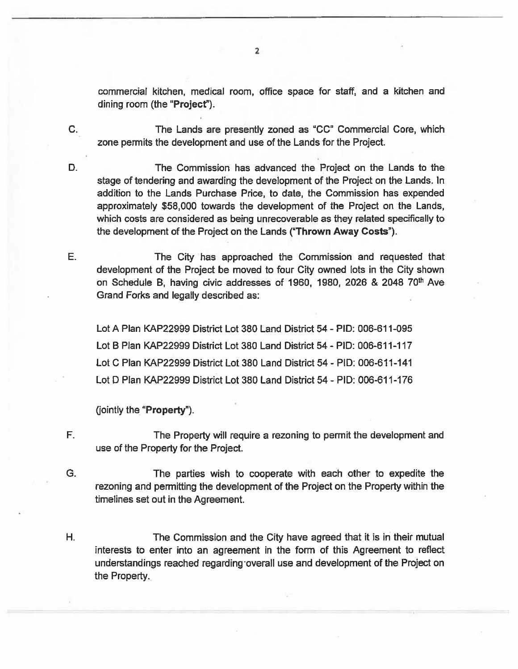commercial kitchen, medical room, office space for staff, and a kitchen and dining room (the "Project").

The Lands are presently zoned as "CC" Commercial Core, which zone permits the development and use of the Lands for the Project.

D. The Commission has advanced the Project on the Lands to the stage of tendering and awarding the development of the Project on the Lands. In addition to the Lands Purchase Price, to date, the Commission has expended approximately \$58,000 towards the development of the Project on the Lands, which costs are considered as being unrecoverable as they related specifically to the development of the Project on the Lands ("Thrown Away Costs").

The City has approached the Commission and requested that development of the Project be moved to four City owned lots in the City shown on Schedule B, having civic addresses of 1960, 1980, 2026 & 2048 70<sup>th</sup> Ave Grand Forks and legally described as:

Lot A Plan KAP22999 District Lot 380 Land District 54 - PID: 006-611-095 Lot B Plan KAP22999 District Lot 380 Land District 54 - PID: 006-611-117 Lot C Plan KAP22999 District Lot 380 Land District 54 - PID: 006-611-141 Lot D Plan KAP22999 District Lot 380 Land District 54 - PID: 006-611-176

(jointly the "Property").

C.

E.

- F. The Property will require a rezoning to permit the development and use of the Property for the Project.
- G. The parties wish to cooperate with each other to expedite the rezoning and permitting the development of the Project on the Property within the timelines set out in the Agreement.
- Η. The Commission and the City have agreed that it is in their mutual interests to enter into an agreement in the form of this Agreement to reflect understandings reached regarding overall use and development of the Project on the Property.

 $\overline{\mathbf{2}}$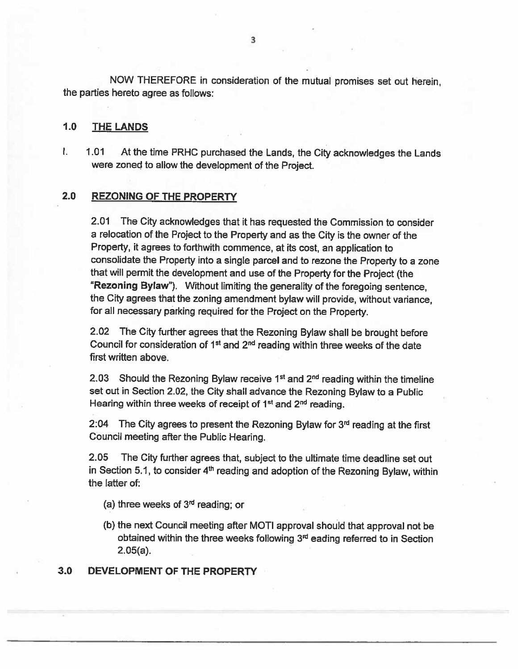NOW THEREFORE in consideration of the mutual promises set out herein, the parties hereto agree as follows:

#### $1.0$ **THE LANDS**

Ł. At the time PRHC purchased the Lands, the City acknowledges the Lands  $1.01$ were zoned to allow the development of the Project.

#### $2.0$ **REZONING OF THE PROPERTY**

 $2.01$ The City acknowledges that it has requested the Commission to consider a relocation of the Project to the Property and as the City is the owner of the Property, it agrees to forthwith commence, at its cost, an application to consolidate the Property into a single parcel and to rezone the Property to a zone that will permit the development and use of the Property for the Project (the "Rezoning Bylaw"). Without limiting the generality of the foregoing sentence, the City agrees that the zoning amendment bylaw will provide, without variance. for all necessary parking required for the Project on the Property.

2.02 The City further agrees that the Rezoning Bylaw shall be brought before Council for consideration of 1<sup>st</sup> and 2<sup>nd</sup> reading within three weeks of the date first written above.

2.03 Should the Rezoning Bylaw receive 1<sup>st</sup> and  $2<sup>nd</sup>$  reading within the timeline set out in Section 2.02, the City shall advance the Rezoning Bylaw to a Public Hearing within three weeks of receipt of 1<sup>st</sup> and 2<sup>nd</sup> reading.

2:04 The City agrees to present the Rezoning Bylaw for  $3<sup>rd</sup>$  reading at the first Council meeting after the Public Hearing.

The City further agrees that, subject to the ultimate time deadline set out  $2.05<sub>1</sub>$ in Section 5.1, to consider 4<sup>th</sup> reading and adoption of the Rezoning Bylaw, within the latter of:

- (a) three weeks of  $3<sup>rd</sup>$  reading; or
- (b) the next Council meeting after MOTI approval should that approval not be obtained within the three weeks following 3<sup>rd</sup> eading referred to in Section  $2.05(a)$ .

#### $3.0$ DEVELOPMENT OF THE PROPERTY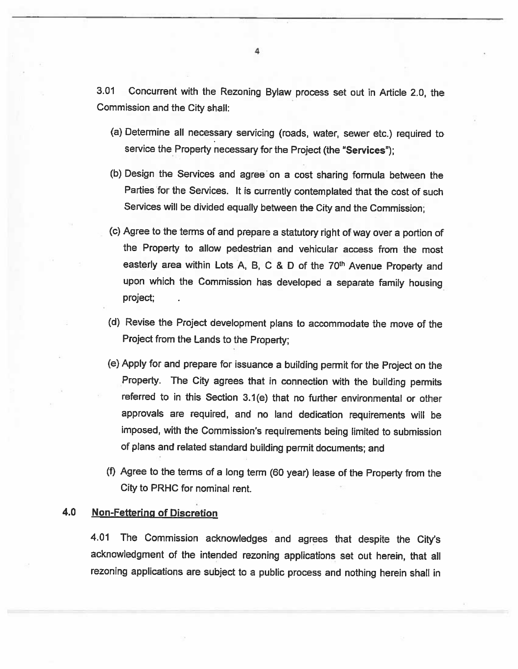$3.01$ Concurrent with the Rezoning Bylaw process set out in Article 2.0, the Commission and the City shall:

- (a) Determine all necessary servicing (roads, water, sewer etc.) required to service the Property necessary for the Project (the "Services");
- (b) Design the Services and agree on a cost sharing formula between the Parties for the Services. It is currently contemplated that the cost of such Services will be divided equally between the City and the Commission;
- (c) Agree to the terms of and prepare a statutory right of way over a portion of the Property to allow pedestrian and vehicular access from the most easterly area within Lots A, B, C & D of the 70<sup>th</sup> Avenue Property and upon which the Commission has developed a separate family housing project:
- (d) Revise the Project development plans to accommodate the move of the Project from the Lands to the Property:
- (e) Apply for and prepare for issuance a building permit for the Project on the Property. The City agrees that in connection with the building permits referred to in this Section 3.1(e) that no further environmental or other approvals are required, and no land dedication requirements will be imposed, with the Commission's requirements being limited to submission of plans and related standard building permit documents; and
- (f) Agree to the terms of a long term (60 year) lease of the Property from the City to PRHC for nominal rent.

#### 4.0 **Non-Fettering of Discretion**

The Commission acknowledges and agrees that despite the City's 4.01 acknowledgment of the intended rezoning applications set out herein, that all rezoning applications are subject to a public process and nothing herein shall in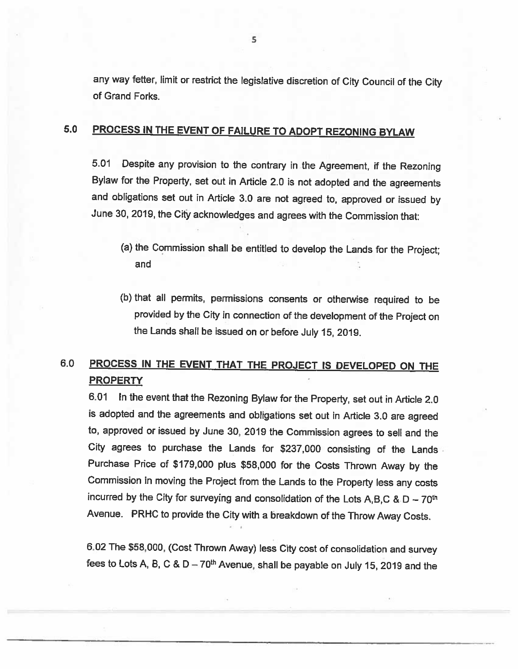any way fetter, limit or restrict the legislative discretion of City Council of the City of Grand Forks.

#### $5.0$ PROCESS IN THE EVENT OF FAILURE TO ADOPT REZONING BYLAW

Despite any provision to the contrary in the Agreement, if the Rezoning  $5.01$ Bylaw for the Property, set out in Article 2.0 is not adopted and the agreements and obligations set out in Article 3.0 are not agreed to, approved or issued by June 30, 2019, the City acknowledges and agrees with the Commission that:

- (a) the Commission shall be entitled to develop the Lands for the Project: and
- (b) that all permits, permissions consents or otherwise required to be provided by the City in connection of the development of the Project on the Lands shall be issued on or before July 15, 2019.

### $6.0$ PROCESS IN THE EVENT THAT THE PROJECT IS DEVELOPED ON THE **PROPERTY**

6.01 In the event that the Rezoning Bylaw for the Property, set out in Article 2.0 is adopted and the agreements and obligations set out in Article 3.0 are agreed to, approved or issued by June 30, 2019 the Commission agrees to sell and the City agrees to purchase the Lands for \$237,000 consisting of the Lands Purchase Price of \$179,000 plus \$58,000 for the Costs Thrown Away by the Commission in moving the Project from the Lands to the Property less any costs incurred by the City for surveying and consolidation of the Lots A, B, C & D  $-70$ <sup>th</sup> Avenue. PRHC to provide the City with a breakdown of the Throw Away Costs.

6.02 The \$58,000, (Cost Thrown Away) less City cost of consolidation and survey fees to Lots A, B, C &  $D - 70<sup>th</sup>$  Avenue, shall be payable on July 15, 2019 and the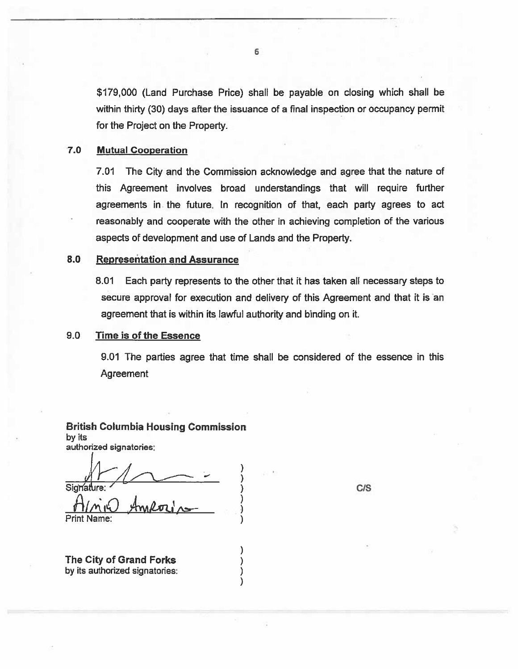\$179,000 (Land Purchase Price) shall be payable on closing which shall be within thirty (30) days after the issuance of a final inspection or occupancy permit for the Project on the Property.

#### $7.0$ **Mutual Cooperation**

7.01 The City and the Commission acknowledge and agree that the nature of this Agreement involves broad understandings that will require further agreements in the future. In recognition of that, each party agrees to act reasonably and cooperate with the other in achieving completion of the various aspects of development and use of Lands and the Property.

#### 8.0 **Representation and Assurance**

8.01 Each party represents to the other that it has taken all necessary steps to secure approval for execution and delivery of this Agreement and that it is an agreement that is within its lawful authority and binding on it.

#### $9.0$ Time is of the Essence

9.01 The parties agree that time shall be considered of the essence in this Agreement

### **British Columbia Housing Commission**

by its authorized signatories:

Signature:

 $C/S$ 

The City of Grand Forks by its authorized signatories:

6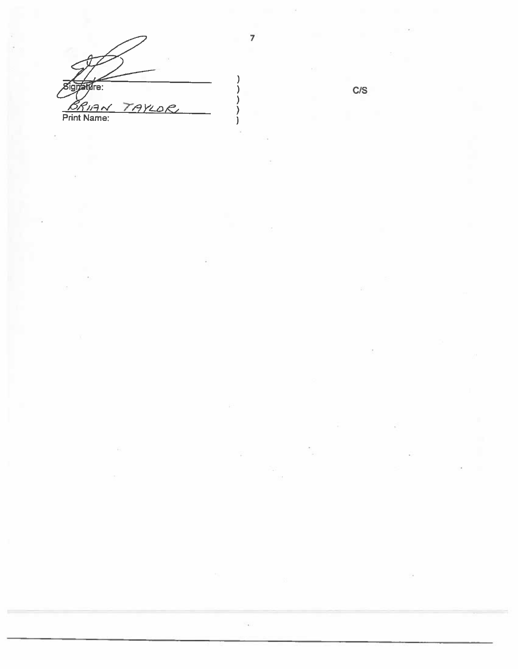$M$ re:  $\frac{\mathcal{B}_{R/4\text{-}}}{\text{Print Name:}}$ TAYLOR

 $\mathsf{C}/\mathsf{S}$ 

 $\overline{7}$ 

1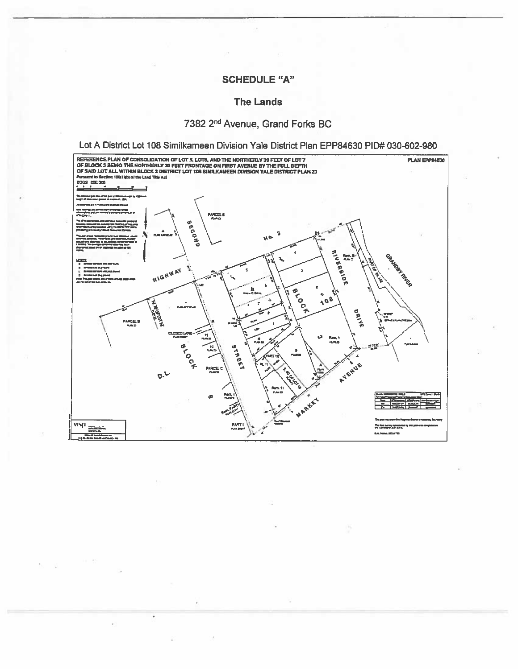### **SCHEDULE "A"**

### **The Lands**

## 7382 2<sup>nd</sup> Avenue, Grand Forks BC

Lot A District Lot 108 Similkameen Division Yale District Plan EPP84630 PID# 030-602-980